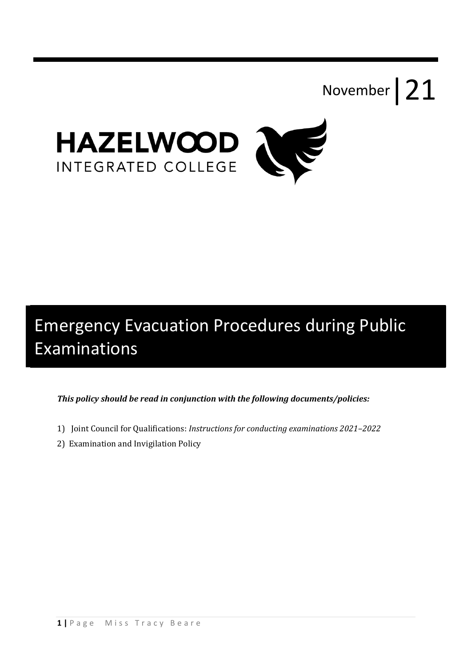



# Emergency Evacuation Procedures during Public Examinations

*This policy should be read in conjunction with the following documents/policies:* 

- 1) Joint Council for Qualifications: *Instructions for conducting examinations* 2021-2022
- 2) Examination and Invigilation Policy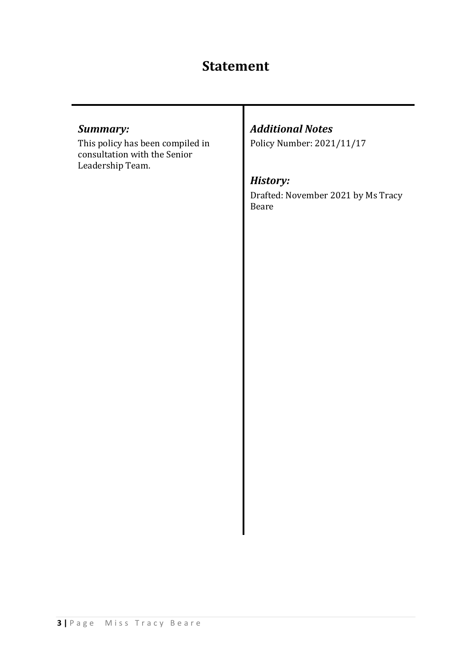# **Statement**

## *Summary:*

This policy has been compiled in consultation with the Senior Leadership Team.

## *Additional Notes*

Policy Number: 2021/11/17

## *History:*

Drafted: November 2021 by Ms Tracy Beare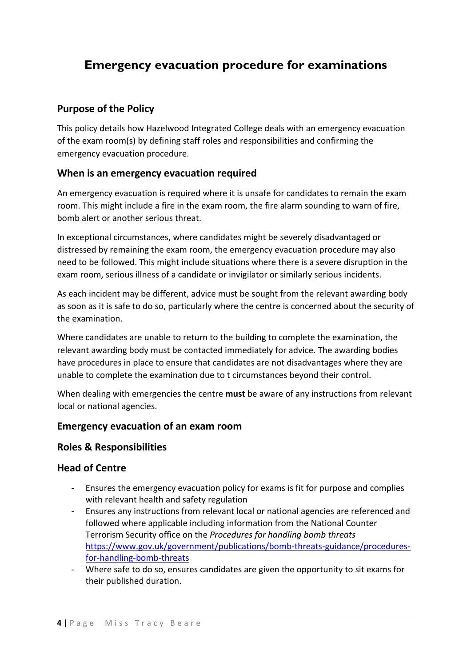# **Emergency evacuation procedure for examinations**

#### **Purpose of the Policy**

This policy details how Hazelwood Integrated College deals with an emergency evacuation of the exam room(s) by defining staff roles and responsibilities and confirming the emergency evacuation procedure.

#### **When is an emergency evacuation required**

An emergency evacuation is required where it is unsafe for candidates to remain the exam room. This might include a fire in the exam room, the fire alarm sounding to warn of fire, bomb alert or another serious threat.

In exceptional circumstances, where candidates might be severely disadvantaged or distressed by remaining the exam room, the emergency evacuation procedure may also need to be followed. This might include situations where there is a severe disruption in the exam room, serious illness of a candidate or invigilator or similarly serious incidents.

As each incident may be different, advice must be sought from the relevant awarding body as soon as it is safe to do so, particularly where the centre is concerned about the security of the examination.

Where candidates are unable to return to the building to complete the examination, the relevant awarding body must be contacted immediately for advice. The awarding bodies have procedures in place to ensure that candidates are not disadvantages where they are unable to complete the examination due to t circumstances beyond their control.

When dealing with emergencies the centre **must** be aware of any instructions from relevant local or national agencies.

#### **Emergency evacuation of an exam room**

#### **Roles & Responsibilities**

#### **Head of Centre**

- Ensures the emergency evacuation policy for exams is fit for purpose and complies with relevant health and safety regulation
- Ensures any instructions from relevant local or national agencies are referenced and followed where applicable including information from the National Counter Terrorism Security office on the *Procedures for handling bomb threats* https://www.gov.uk/government/publications/bomb-threats-guidance/proceduresfor-handling-bomb-threats
- Where safe to do so, ensures candidates are given the opportunity to sit exams for their published duration.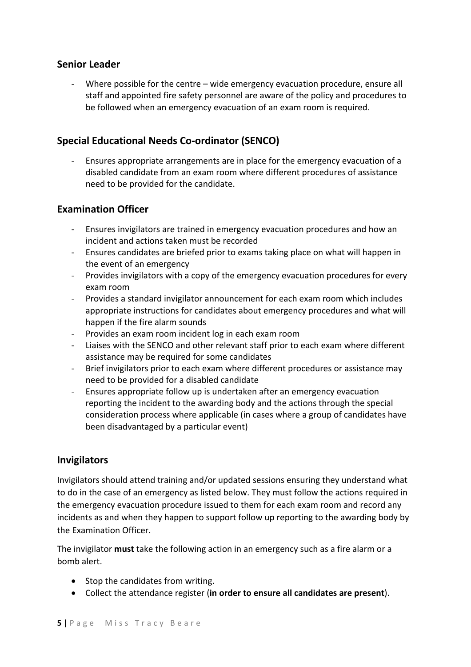#### **Senior Leader**

Where possible for the centre – wide emergency evacuation procedure, ensure all staff and appointed fire safety personnel are aware of the policy and procedures to be followed when an emergency evacuation of an exam room is required.

### **Special Educational Needs Co-ordinator (SENCO)**

- Ensures appropriate arrangements are in place for the emergency evacuation of a disabled candidate from an exam room where different procedures of assistance need to be provided for the candidate.

#### **Examination Officer**

- Ensures invigilators are trained in emergency evacuation procedures and how an incident and actions taken must be recorded
- Ensures candidates are briefed prior to exams taking place on what will happen in the event of an emergency
- Provides invigilators with a copy of the emergency evacuation procedures for every exam room
- Provides a standard invigilator announcement for each exam room which includes appropriate instructions for candidates about emergency procedures and what will happen if the fire alarm sounds
- Provides an exam room incident log in each exam room
- Liaises with the SENCO and other relevant staff prior to each exam where different assistance may be required for some candidates
- Brief invigilators prior to each exam where different procedures or assistance may need to be provided for a disabled candidate
- Ensures appropriate follow up is undertaken after an emergency evacuation reporting the incident to the awarding body and the actions through the special consideration process where applicable (in cases where a group of candidates have been disadvantaged by a particular event)

#### **Invigilators**

Invigilators should attend training and/or updated sessions ensuring they understand what to do in the case of an emergency as listed below. They must follow the actions required in the emergency evacuation procedure issued to them for each exam room and record any incidents as and when they happen to support follow up reporting to the awarding body by the Examination Officer.

The invigilator **must** take the following action in an emergency such as a fire alarm or a bomb alert.

- Stop the candidates from writing.
- Collect the attendance register (**in order to ensure all candidates are present**).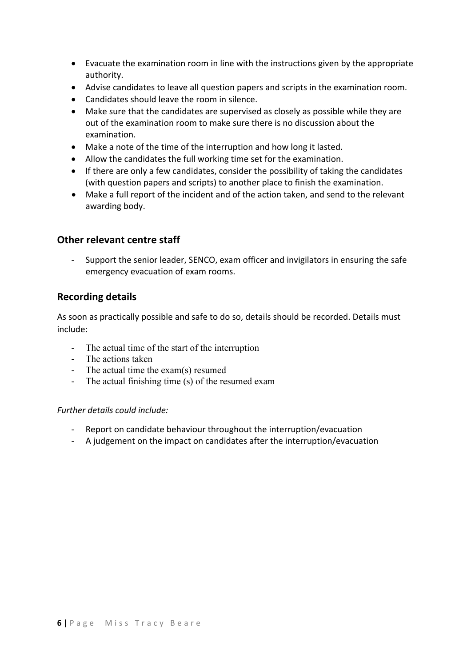- Evacuate the examination room in line with the instructions given by the appropriate authority.
- Advise candidates to leave all question papers and scripts in the examination room.
- Candidates should leave the room in silence.
- Make sure that the candidates are supervised as closely as possible while they are out of the examination room to make sure there is no discussion about the examination.
- Make a note of the time of the interruption and how long it lasted.
- Allow the candidates the full working time set for the examination.
- If there are only a few candidates, consider the possibility of taking the candidates (with question papers and scripts) to another place to finish the examination.
- Make a full report of the incident and of the action taken, and send to the relevant awarding body.

#### **Other relevant centre staff**

- Support the senior leader, SENCO, exam officer and invigilators in ensuring the safe emergency evacuation of exam rooms.

#### **Recording details**

As soon as practically possible and safe to do so, details should be recorded. Details must include:

- The actual time of the start of the interruption
- The actions taken
- The actual time the exam(s) resumed
- The actual finishing time (s) of the resumed exam

#### *Further details could include:*

- Report on candidate behaviour throughout the interruption/evacuation
- A judgement on the impact on candidates after the interruption/evacuation